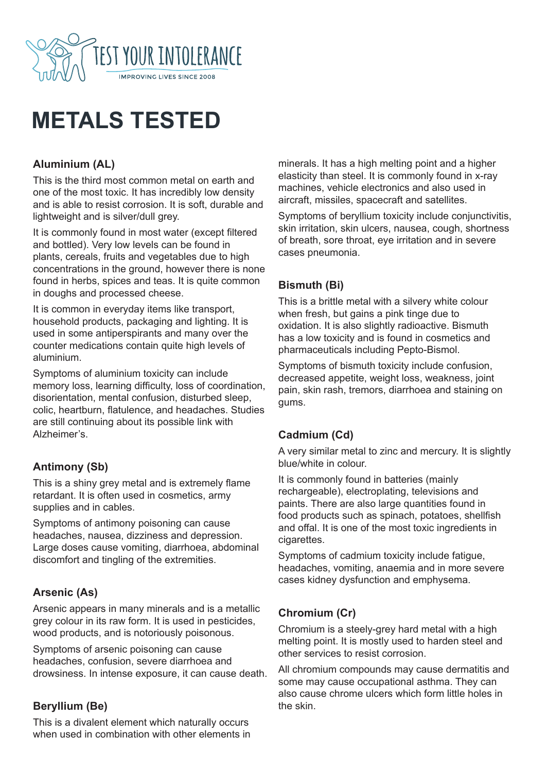

# **METALS TESTED**

# **Aluminium (AL)**

This is the third most common metal on earth and one of the most toxic. It has incredibly low density and is able to resist corrosion. It is soft, durable and lightweight and is silver/dull grey.

It is commonly found in most water (except filtered and bottled). Very low levels can be found in plants, cereals, fruits and vegetables due to high concentrations in the ground, however there is none found in herbs, spices and teas. It is quite common in doughs and processed cheese.

It is common in everyday items like transport, household products, packaging and lighting. It is used in some antiperspirants and many over the counter medications contain quite high levels of aluminium.

Symptoms of aluminium toxicity can include memory loss, learning difficulty, loss of coordination, disorientation, mental confusion, disturbed sleep, colic, heartburn, flatulence, and headaches. Studies are still continuing about its possible link with Alzheimer's.

## **Antimony (Sb)**

This is a shiny grey metal and is extremely flame retardant. It is often used in cosmetics, army supplies and in cables.

Symptoms of antimony poisoning can cause headaches, nausea, dizziness and depression. Large doses cause vomiting, diarrhoea, abdominal discomfort and tingling of the extremities.

## **Arsenic (As)**

Arsenic appears in many minerals and is a metallic grey colour in its raw form. It is used in pesticides, wood products, and is notoriously poisonous.

Symptoms of arsenic poisoning can cause headaches, confusion, severe diarrhoea and drowsiness. In intense exposure, it can cause death.

#### **Beryllium (Be)**

This is a divalent element which naturally occurs when used in combination with other elements in minerals. It has a high melting point and a higher elasticity than steel. It is commonly found in x-ray machines, vehicle electronics and also used in aircraft, missiles, spacecraft and satellites.

Symptoms of beryllium toxicity include conjunctivitis, skin irritation, skin ulcers, nausea, cough, shortness of breath, sore throat, eye irritation and in severe cases pneumonia.

#### **Bismuth (Bi)**

This is a brittle metal with a silvery white colour when fresh, but gains a pink tinge due to oxidation. It is also slightly radioactive. Bismuth has a low toxicity and is found in cosmetics and pharmaceuticals including Pepto-Bismol.

Symptoms of bismuth toxicity include confusion, decreased appetite, weight loss, weakness, joint pain, skin rash, tremors, diarrhoea and staining on gums.

#### **Cadmium (Cd)**

A very similar metal to zinc and mercury. It is slightly blue/white in colour.

It is commonly found in batteries (mainly rechargeable), electroplating, televisions and paints. There are also large quantities found in food products such as spinach, potatoes, shellfish and offal. It is one of the most toxic ingredients in cigarettes.

Symptoms of cadmium toxicity include fatigue, headaches, vomiting, anaemia and in more severe cases kidney dysfunction and emphysema.

## **Chromium (Cr)**

Chromium is a steely-grey hard metal with a high melting point. It is mostly used to harden steel and other services to resist corrosion.

All chromium compounds may cause dermatitis and some may cause occupational asthma. They can also cause chrome ulcers which form little holes in the skin.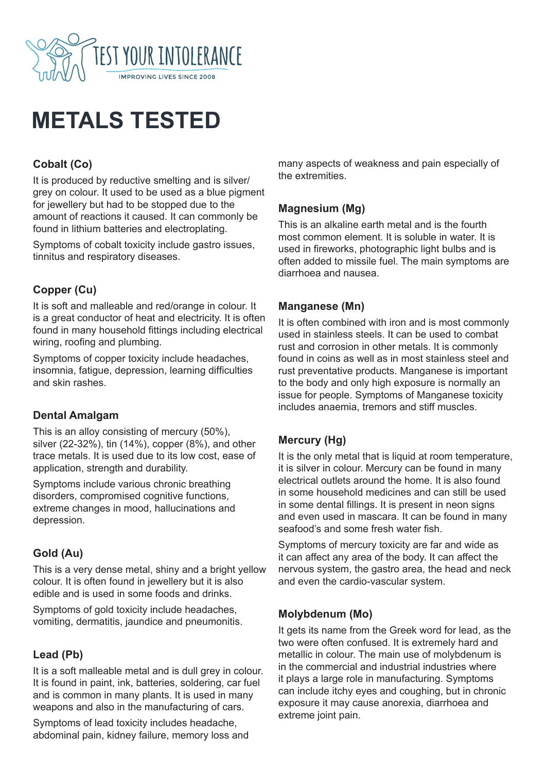

# **METALS TESTED**

# **Cobalt (Co)**

It is produced by reductive smelting and is silver/ grey on colour. It used to be used as a blue pigment for jewellery but had to be stopped due to the amount of reactions it caused. It can commonly be found in lithium batteries and electroplating.

Symptoms of cobalt toxicity include gastro issues, tinnitus and respiratory diseases.

# **Copper (Cu)**

It is soft and malleable and red/orange in colour. It is a great conductor of heat and electricity. It is often found in many household fittings including electrical wiring, roofing and plumbing.

Symptoms of copper toxicity include headaches, insomnia, fatigue, depression, learning difficulties and skin rashes.

#### **Dental Amalgam**

This is an alloy consisting of mercury (50%), silver (22-32%), tin (14%), copper (8%), and other trace metals. It is used due to its low cost, ease of application, strength and durability.

Symptoms include various chronic breathing disorders, compromised cognitive functions, extreme changes in mood, hallucinations and depression.

## **Gold (Au)**

This is a very dense metal, shiny and a bright yellow colour. It is often found in jewellery but it is also edible and is used in some foods and drinks.

Symptoms of gold toxicity include headaches, vomiting, dermatitis, jaundice and pneumonitis.

## **Lead (Pb)**

It is a soft malleable metal and is dull grey in colour. It is found in paint, ink, batteries, soldering, car fuel and is common in many plants. It is used in many weapons and also in the manufacturing of cars.

Symptoms of lead toxicity includes headache, abdominal pain, kidney failure, memory loss and many aspects of weakness and pain especially of the extremities.

## **Magnesium (Mg)**

This is an alkaline earth metal and is the fourth most common element. It is soluble in water. It is used in fireworks, photographic light bulbs and is often added to missile fuel. The main symptoms are diarrhoea and nausea.

#### **Manganese (Mn)**

It is often combined with iron and is most commonly used in stainless steels. It can be used to combat rust and corrosion in other metals. It is commonly found in coins as well as in most stainless steel and rust preventative products. Manganese is important to the body and only high exposure is normally an issue for people. Symptoms of Manganese toxicity includes anaemia, tremors and stiff muscles.

# **Mercury (Hg)**

It is the only metal that is liquid at room temperature, it is silver in colour. Mercury can be found in many electrical outlets around the home. It is also found in some household medicines and can still be used in some dental fillings. It is present in neon signs and even used in mascara. It can be found in many seafood's and some fresh water fish.

Symptoms of mercury toxicity are far and wide as it can affect any area of the body. It can affect the nervous system, the gastro area, the head and neck and even the cardio-vascular system.

## **Molybdenum (Mo)**

It gets its name from the Greek word for lead, as the two were often confused. It is extremely hard and metallic in colour. The main use of molybdenum is in the commercial and industrial industries where it plays a large role in manufacturing. Symptoms can include itchy eyes and coughing, but in chronic exposure it may cause anorexia, diarrhoea and extreme joint pain.